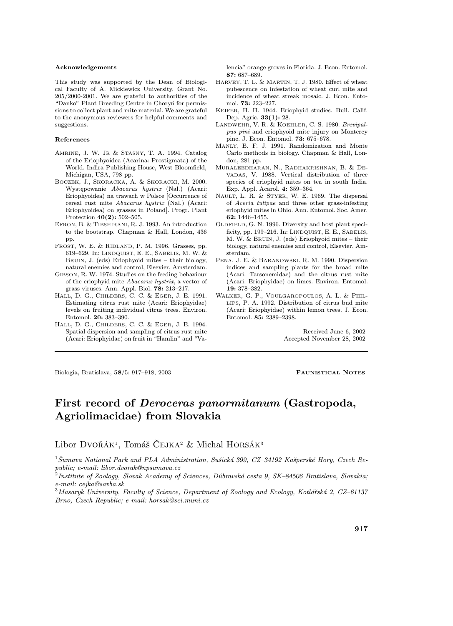## Acknowledgements

This study was supported by the Dean of Biological Faculty of A. Mickiewicz University, Grant No. 205/2000-2001. We are grateful to authorities of the "Danko" Plant Breeding Centre in Choryń for permissions to collect plant and mite material. We are grateful to the anonymous reviewers for helpful comments and suggestions.

## References

- AMRINE, J. W. JR & STASNY, T. A. 1994. Catalog of the Eriophyoidea (Acarina: Prostigmata) of the World. Indira Publishing House, West Bloomfield, Michigan, USA, 798 pp.
- BOCZEK, J., SKORACKA, A. & SKORACKI, M. 2000. Występowanie Abacarus hystrix (Nal.) (Acari: Eriophyoidea) na trawach w Polsce [Occurrence of cereal rust mite Abacarus hystrix (Nal.) (Acari: Eriophyoidea) on grasses in Poland]. Progr. Plant Protection 40(2): 502–505.
- EFRON, B. & TIBSHIRANI, R. J. 1993. An introduction to the bootstrap. Chapman & Hall, London, 436 pp.
- FROST, W. E. & RIDLAND, P. M. 1996. Grasses, pp. 619–629. In: LINDQUIST, E. E., SABELIS, M. W. & BRUIN, J. (eds) Eriophyoid mites – their biology, natural enemies and control, Elsevier, Amsterdam.
- GIBSON, R. W. 1974. Studies on the feeding behaviour of the eriophyid mite Abacarus hystrix, a vector of grass viruses. Ann. Appl. Biol. 78: 213–217.
- HALL, D. G., CHILDERS, C. C. & EGER, J. E. 1991. Estimating citrus rust mite (Acari: Eriophyidae) levels on fruiting individual citrus trees. Environ. Entomol. 20: 383–390.
- HALL, D. G., CHILDERS, C. C. & EGER, J. E. 1994. Spatial dispersion and sampling of citrus rust mite (Acari: Eriophyidae) on fruit in "Hamlin" and "Va-

lencia" orange groves in Florida. J. Econ. Entomol. 87: 687–689.

- HARVEY, T. L. & MARTIN, T. J. 1980. Effect of wheat pubescence on infestation of wheat curl mite and incidence of wheat streak mosaic. J. Econ. Entomol. 73: 223–227.
- KEIFER, H. H. 1944. Eriophyid studies. Bull. Calif. Dep. Agric. 33(1): 28.
- LANDWEHR, V. R. & KOEHLER, C. S. 1980. Brevipalpus pini and eriophyoid mite injury on Monterey pine. J. Econ. Entomol. 73: 675–678.
- MANLY, B. F. J. 1991. Randomization and Monte Carlo methods in biology. Chapman & Hall, London, 281 pp.
- MURALEEDHARAN, N., RADHAKRISHNAN, B. & DE-VADAS, V. 1988. Vertical distribution of three species of eriophyid mites on tea in south India. Exp. Appl. Acarol. 4: 359–364.
- NAULT, L. R. & STYER, W. E. 1969. The dispersal of Aceria tulipae and three other grass-infesting eriophyid mites in Ohio. Ann. Entomol. Soc. Amer. 62: 1446–1455.
- OLDFIELD, G. N. 1996. Diversity and host plant specificity, pp. 199–216. In: LINDQUIST, E. E., SABELIS, M. W. & BRUIN, J. (eds) Eriophyoid mites – their biology, natural enemies and control, Elsevier, Amsterdam.
- PENA, J. E. & BARANOWSKI, R. M. 1990. Dispersion indices and sampling plants for the broad mite (Acari: Tarsonemidae) and the citrus rust mite (Acari: Eriophyidae) on limes. Environ. Entomol. 19: 378–382.
- WALKER, G. P., VOULGAROPOULOS, A. L. & PHIL-LIPS, P. A. 1992. Distribution of citrus bud mite (Acari: Eriophyidae) within lemon trees. J. Econ. Entomol. 85: 2389–2398.

Received June 6, 2002 Accepted November 28, 2002

Biologia, Bratislava, 58/5: 917–918, 2003 FAUNISTICAL NOTES

# First record of Deroceras panormitanum (Gastropoda, Agriolimacidae) from Slovakia

Libor Dvořák<sup>1</sup>, Tomáš ČEJKA<sup>2</sup> & Michal HORSÁK<sup>3</sup>

<sup>1</sup>Šumava National Park and PLA Administration, Sušická 399, CZ–34192 Kašperské Hory, Czech Republic; e-mail: libor.dvorak@npsumava.cz

<sup>2</sup>Institute of Zoology, Slovak Academy of Sciences, Dúbravská cesta 9, SK–84506 Bratislava, Slovakia; e-mail: cejka@savba.sk

<sup>3</sup>Masaryk University, Faculty of Science, Department of Zoology and Ecology, Kotlářská 2, CZ–61137 Brno, Czech Republic; e-mail: horsak@sci.muni.cz